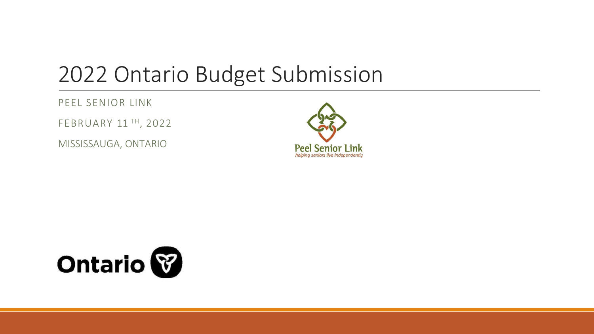### 2022 Ontario Budget Submission

### PEEL SENIOR LINK

FEBRUARY 11 TH, 2022

MISSISSAUGA, ONTARIO



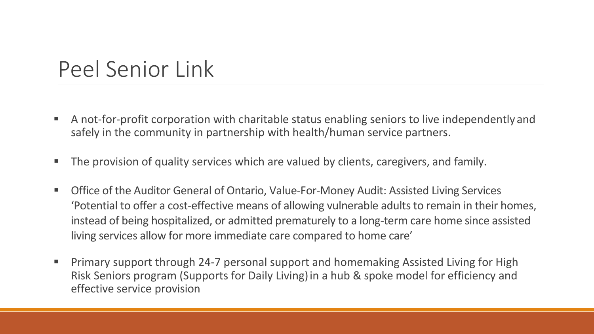### Peel Senior Link

- A not-for-profit corporation with charitable status enabling seniors to live independently and safely in the community in partnership with health/human service partners.
- **The provision of quality services which are valued by clients, caregivers, and family.**
- Office of the Auditor General of Ontario, Value-For-Money Audit: Assisted Living Services 'Potential to offer a cost-effective means of allowing vulnerable adults to remain in their homes, instead of being hospitalized, or admitted prematurely to a long-term care home since assisted living services allow for more immediate care compared to home care'
- **Primary support through 24-7 personal support and homemaking Assisted Living for High** Risk Seniors program (Supports for Daily Living)in a hub & spoke model for efficiency and effective service provision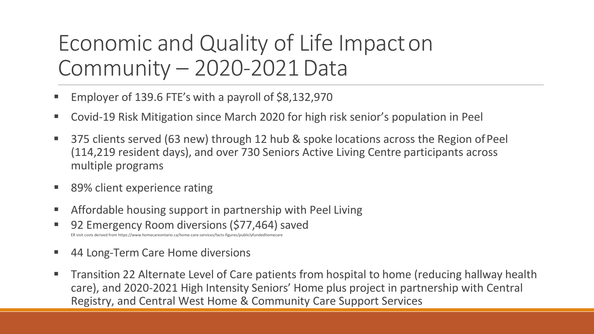### Economic and Quality of Life Impacton Community – 2020-2021Data

- Employer of 139.6 FTE's with a payroll of \$8,132,970
- Covid-19 Risk Mitigation since March 2020 for high risk senior's population in Peel
- 375 clients served (63 new) through 12 hub & spoke locations across the Region of Peel (114,219 resident days), and over 730 Seniors Active Living Centre participants across multiple programs
- 89% client experience rating
- Affordable housing support in partnership with Peel Living
- 92 Emergency Room diversions (\$77,464) saved ers derived from https://www.homecareontario.ca/home-care-services/facts-figures/publicly
- 44 Long-Term Care Home diversions
- **The Transition 22 Alternate Level of Care patients from hospital to home (reducing hallway health** care), and 2020-2021 High Intensity Seniors' Home plus project in partnership with Central Registry, and Central West Home & Community Care Support Services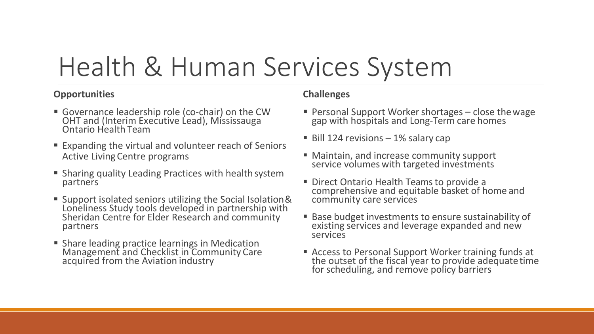## Health & Human Services System

#### **Opportunities**

- Governance leadership role (co-chair) on the CW OHT and (Interim Executive Lead), Mississauga Ontario Health Team
- Expanding the virtual and volunteer reach of Seniors Active LivingCentre programs
- Sharing quality Leading Practices with health system partners
- Support isolated seniors utilizing the Social Isolation& Loneliness Study tools developed in partnership with Sheridan Centre for Elder Research and community partners
- **Share leading practice learnings in Medication** Management and Checklist in Community Care acquired from the Aviation industry

### **Challenges**

- Personal Support Worker shortages close thewage gap with hospitals and Long-Term care homes
- $\blacksquare$  Bill 124 revisions 1% salary cap
- Maintain, and increase community support service volumes with targeted investments
- Direct Ontario Health Teams to provide a comprehensive and equitable basket of home and community care services
- Base budget investments to ensure sustainability of existing services and leverage expanded and new services
- Access to Personal Support Worker training funds at the outset of the fiscal year to provide adequatetime for scheduling, and remove policy barriers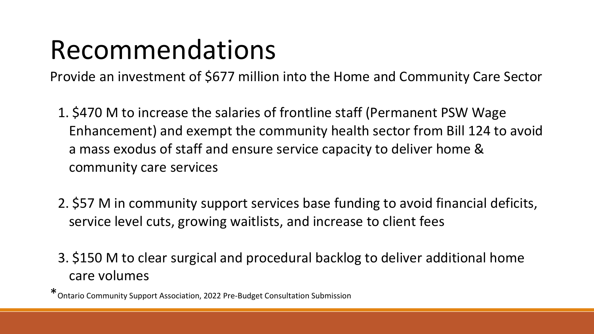## Recommendations

Provide an investment of \$677 million into the Home and Community Care Sector

- 1. \$470 M to increase the salaries of frontline staff (Permanent PSW Wage Enhancement) and exempt the community health sector from Bill 124 to avoid a mass exodus of staff and ensure service capacity to deliver home & community care services
- 2. \$57 M in community support services base funding to avoid financial deficits, service level cuts, growing waitlists, and increase to client fees
- 3. \$150 M to clear surgical and procedural backlog to deliver additional home care volumes

\*Ontario Community Support Association, 2022 Pre-Budget Consultation Submission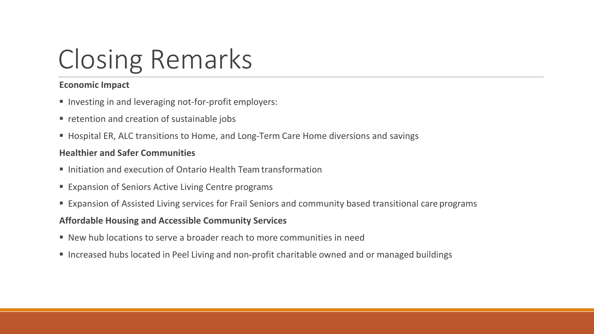## Closing Remarks

#### **Economic Impact**

- Investing in and leveraging not-for-profit employers:
- **•** retention and creation of sustainable jobs
- Hospital ER, ALC transitions to Home, and Long-Term Care Home diversions and savings

#### **Healthier and Safer Communities**

- Initiation and execution of Ontario Health Team transformation
- **Expansion of Seniors Active Living Centre programs**
- Expansion of Assisted Living services for Frail Seniors and community based transitional care programs

#### **Affordable Housing and Accessible Community Services**

- New hub locations to serve a broader reach to more communities in need
- **Increased hubs located in Peel Living and non-profit charitable owned and or managed buildings**